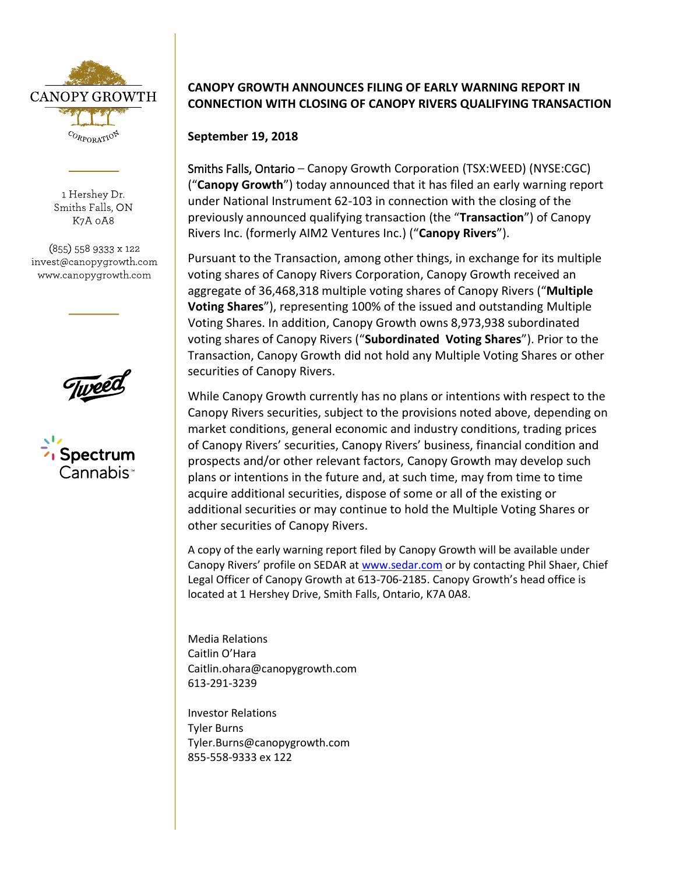

1 Hershey Dr. Smiths Falls, ON K7A 0A8

(855) 558 9333 x 122 invest@canopygrowth.com www.canopygrowth.com



## **CANOPY GROWTH ANNOUNCES FILING OF EARLY WARNING REPORT IN CONNECTION WITH CLOSING OF CANOPY RIVERS QUALIFYING TRANSACTION**

**September 19, 2018**

Smiths Falls, Ontario – Canopy Growth Corporation (TSX:WEED) (NYSE:CGC) ("**Canopy Growth**") today announced that it has filed an early warning report under National Instrument 62-103 in connection with the closing of the previously announced qualifying transaction (the "**Transaction**") of Canopy Rivers Inc. (formerly AIM2 Ventures Inc.) ("**Canopy Rivers**").

Pursuant to the Transaction, among other things, in exchange for its multiple voting shares of Canopy Rivers Corporation, Canopy Growth received an aggregate of 36,468,318 multiple voting shares of Canopy Rivers ("**Multiple Voting Shares**"), representing 100% of the issued and outstanding Multiple Voting Shares. In addition, Canopy Growth owns 8,973,938 subordinated voting shares of Canopy Rivers ("**Subordinated Voting Shares**"). Prior to the Transaction, Canopy Growth did not hold any Multiple Voting Shares or other securities of Canopy Rivers.

While Canopy Growth currently has no plans or intentions with respect to the Canopy Rivers securities, subject to the provisions noted above, depending on market conditions, general economic and industry conditions, trading prices of Canopy Rivers' securities, Canopy Rivers' business, financial condition and prospects and/or other relevant factors, Canopy Growth may develop such plans or intentions in the future and, at such time, may from time to time acquire additional securities, dispose of some or all of the existing or additional securities or may continue to hold the Multiple Voting Shares or other securities of Canopy Rivers.

A copy of the early warning report filed by Canopy Growth will be available under Canopy Rivers' profile on SEDAR a[t www.sedar.com](http://www.sedar.com/) or by contacting Phil Shaer, Chief Legal Officer of Canopy Growth at 613-706-2185. Canopy Growth's head office is located at 1 Hershey Drive, Smith Falls, Ontario, K7A 0A8.

Media Relations Caitlin O'Hara [Caitlin.ohara@canopygrowth.com](mailto:Caitlin.ohara@canopygrowth.com) 613-291-3239

Investor Relations Tyler Burns [Tyler.Burns@canopygrowth.com](mailto:Tyler.Burns@canopygrowth.com) 855-558-9333 ex 122